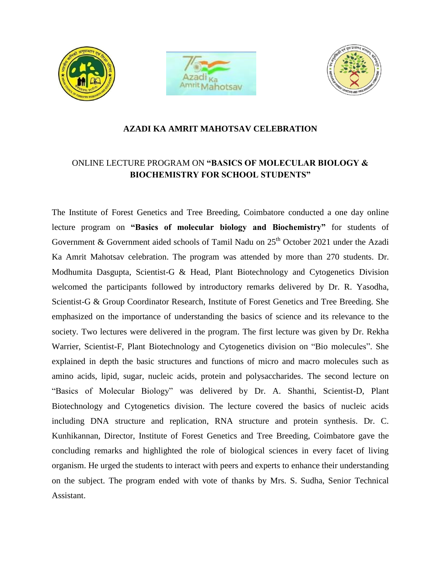





## **AZADI KA AMRIT MAHOTSAV CELEBRATION**

## ONLINE LECTURE PROGRAM ON **"BASICS OF MOLECULAR BIOLOGY & BIOCHEMISTRY FOR SCHOOL STUDENTS"**

The Institute of Forest Genetics and Tree Breeding, Coimbatore conducted a one day online lecture program on **"Basics of molecular biology and Biochemistry"** for students of Government & Government aided schools of Tamil Nadu on 25<sup>th</sup> October 2021 under the Azadi Ka Amrit Mahotsav celebration. The program was attended by more than 270 students. Dr. Modhumita Dasgupta, Scientist-G & Head, Plant Biotechnology and Cytogenetics Division welcomed the participants followed by introductory remarks delivered by Dr. R. Yasodha, Scientist-G & Group Coordinator Research, Institute of Forest Genetics and Tree Breeding. She emphasized on the importance of understanding the basics of science and its relevance to the society. Two lectures were delivered in the program. The first lecture was given by Dr. Rekha Warrier, Scientist-F, Plant Biotechnology and Cytogenetics division on "Bio molecules". She explained in depth the basic structures and functions of micro and macro molecules such as amino acids, lipid, sugar, nucleic acids, protein and polysaccharides. The second lecture on "Basics of Molecular Biology" was delivered by Dr. A. Shanthi, Scientist-D, Plant Biotechnology and Cytogenetics division. The lecture covered the basics of nucleic acids including DNA structure and replication, RNA structure and protein synthesis. Dr. C. Kunhikannan, Director, Institute of Forest Genetics and Tree Breeding, Coimbatore gave the concluding remarks and highlighted the role of biological sciences in every facet of living organism. He urged the students to interact with peers and experts to enhance their understanding on the subject. The program ended with vote of thanks by Mrs. S. Sudha, Senior Technical Assistant.